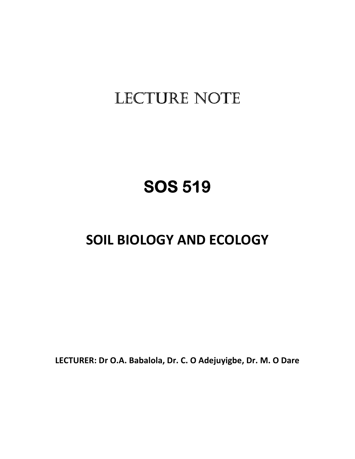# LECTURE NOTE

# **SOS 519 SOS 519**

# **SOIL BIOLOGY AND ECOLOGY**

**LECTURER: Dr O.A. Babalola, Dr. C. O Adejuyigbe, Dr. M. O Dare**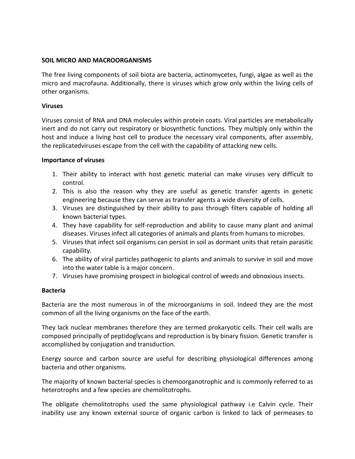# **SOIL MICRO AND MACROORGANISMS**

The free living components of soil biota are bacteria, actinomycetes, fungi, algae as well as the micro and macrofauna. Additionally, there is viruses which grow only within the living cells of other organisms.

## **Viruses**

Viruses consist of RNA and DNA molecules within protein coats. Viral particles are metabolically inert and do not carry out respiratory or biosynthetic functions. They multiply only within the host and induce a living host cell to produce the necessary viral components, after assembly, the replicatedviruses escape from the cell with the capability of attacking new cells.

## **Importance of viruses**

- 1. Their ability to interact with host genetic material can make viruses very difficult to control.
- 2. This is also the reason why they are useful as genetic transfer agents in genetic engineering because they can serve as transfer agents a wide diversity of cells.
- 3. Viruses are distinguished by their ability to pass through filters capable of holding all known bacterial types.
- 4. They have capability for self-reproduction and ability to cause many plant and animal diseases. Viruses infect all categories of animals and plants from humans to microbes.
- 5. Viruses that infect soil organisms can persist in soil as dormant units that retain parasitic capability.
- 6. The ability of viral particles pathogenic to plants and animals to survive in soil and move into the water table is a major concern.
- 7. Viruses have promising prospect in biological control of weeds and obnoxious insects.

# **Bacteria**

Bacteria are the most numerous in of the microorganisms in soil. Indeed they are the most common of all the living organisms on the face of the earth.

They lack nuclear membranes therefore they are termed prokaryotic cells. Their cell walls are composed principally of peptidoglycans and reproduction is by binary fission. Genetic transfer is accomplished by conjugation and transduction.

Energy source and carbon source are useful for describing physiological differences among bacteria and other organisms.

The majority of known bacterial species is chemoorganotrophic and is commonly referred to as heterotrophs and a few species are chemolitotrophs.

The obligate chemolitotrophs used the same physiological pathway i.e Calvin cycle. Their inability use any known external source of organic carbon is linked to lack of permeases to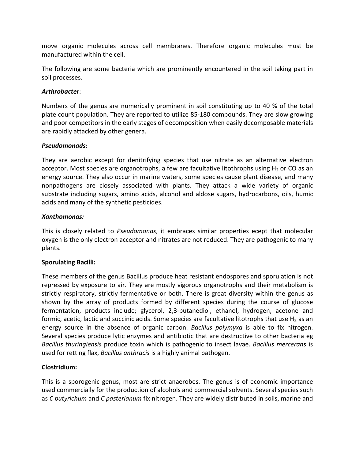move organic molecules across cell membranes. Therefore organic molecules must be manufactured within the cell.

The following are some bacteria which are prominently encountered in the soil taking part in soil processes.

# *Arthrobacter*:

Numbers of the genus are numerically prominent in soil constituting up to 40 % of the total plate count population. They are reported to utilize 85-180 compounds. They are slow growing and poor competitors in the early stages of decomposition when easily decomposable materials are rapidly attacked by other genera.

# *Pseudomonads:*

They are aerobic except for denitrifying species that use nitrate as an alternative electron acceptor. Most species are organotrophs, a few are facultative litothrophs using  $H_2$  or CO as an energy source. They also occur in marine waters, some species cause plant disease, and many nonpathogens are closely associated with plants. They attack a wide variety of organic substrate including sugars, amino acids, alcohol and aldose sugars, hydrocarbons, oils, humic acids and many of the synthetic pesticides.

# *Xanthomonas:*

This is closely related to *Pseudomonas*, it embraces similar properties ecept that molecular oxygen is the only electron acceptor and nitrates are not reduced. They are pathogenic to many plants.

# **Sporulating Bacilli:**

These members of the genus Bacillus produce heat resistant endospores and sporulation is not repressed by exposure to air. They are mostly vigorous organotrophs and their metabolism is strictly respiratory, strictly fermentative or both. There is great diversity within the genus as shown by the array of products formed by different species during the course of glucose fermentation, products include; glycerol, 2,3-butanediol, ethanol, hydrogen, acetone and formic, acetic, lactic and succinic acids. Some species are facultative litotrophs that use  $H_2$  as an energy source in the absence of organic carbon. *Bacillus polymyxa* is able to fix nitrogen. Several species produce lytic enzymes and antibiotic that are destructive to other bacteria eg *Bacillus thuringiensis* produce toxin which is pathogenic to insect lavae. *Bacillus mercerans* is used for retting flax, *Bacillus anthracis* is a highly animal pathogen.

# **Clostridium:**

This is a sporogenic genus, most are strict anaerobes. The genus is of economic importance used commercially for the production of alcohols and commercial solvents. Several species such as *C butyrichum* and *C pasterianum* fix nitrogen. They are widely distributed in soils, marine and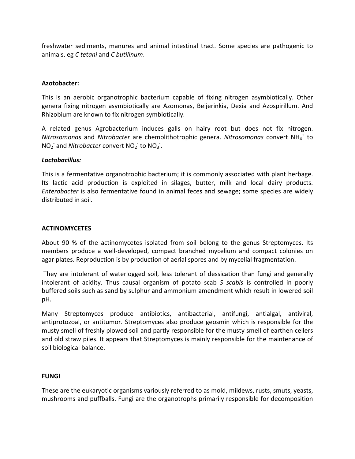freshwater sediments, manures and animal intestinal tract. Some species are pathogenic to animals, eg *C tetani* and *C butilinum*.

# **Azotobacter:**

This is an aerobic organotrophic bacterium capable of fixing nitrogen asymbiotically. Other genera fixing nitrogen asymbiotically are Azomonas, Beijerinkia, Dexia and Azospirillum. And Rhizobium are known to fix nitrogen symbiotically.

A related genus Agrobacterium induces galls on hairy root but does not fix nitrogen. *Nitrosomonas* and *Nitrobacter* are chemolithotrophic genera. *Nitrosomonas* convert NH<sup>4</sup> + to  $NO<sub>2</sub>$  and *Nitrobacter* convert  $NO<sub>2</sub>$  to  $NO<sub>3</sub>$ .

# *Lactobacillus:*

This is a fermentative organotrophic bacterium; it is commonly associated with plant herbage. Its lactic acid production is exploited in silages, butter, milk and local dairy products. *Enterobacter* is also fermentative found in animal feces and sewage; some species are widely distributed in soil.

# **ACTINOMYCETES**

About 90 % of the actinomycetes isolated from soil belong to the genus Streptomyces. Its members produce a well-developed, compact branched mycelium and compact colonies on agar plates. Reproduction is by production of aerial spores and by mycelial fragmentation.

 They are intolerant of waterlogged soil, less tolerant of dessication than fungi and generally intolerant of acidity. Thus causal organism of potato scab *S scabis* is controlled in poorly buffered soils such as sand by sulphur and ammonium amendment which result in lowered soil pH.

Many Streptomyces produce antibiotics, antibacterial, antifungi, antialgal, antiviral, antiprotozoal, or antitumor. Streptomyces also produce geosmin which is responsible for the musty smell of freshly plowed soil and partly responsible for the musty smell of earthen cellers and old straw piles. It appears that Streptomyces is mainly responsible for the maintenance of soil biological balance.

# **FUNGI**

These are the eukaryotic organisms variously referred to as mold, mildews, rusts, smuts, yeasts, mushrooms and puffballs. Fungi are the organotrophs primarily responsible for decomposition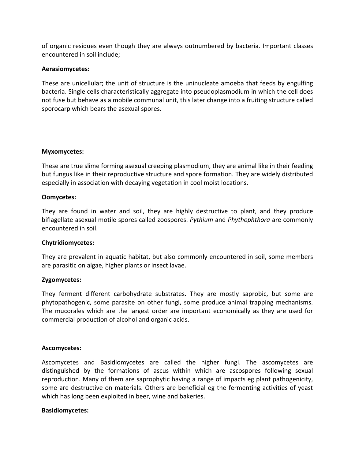of organic residues even though they are always outnumbered by bacteria. Important classes encountered in soil include;

## **Aerasiomycetes:**

These are unicellular; the unit of structure is the uninucleate amoeba that feeds by engulfing bacteria. Single cells characteristically aggregate into pseudoplasmodium in which the cell does not fuse but behave as a mobile communal unit, this later change into a fruiting structure called sporocarp which bears the asexual spores.

## **Myxomycetes:**

These are true slime forming asexual creeping plasmodium, they are animal like in their feeding but fungus like in their reproductive structure and spore formation. They are widely distributed especially in association with decaying vegetation in cool moist locations.

## **Oomycetes:**

They are found in water and soil, they are highly destructive to plant, and they produce biflagellate asexual motile spores called zoospores. *Pythium* and *Phythophthora* are commonly encountered in soil.

# **Chytridiomycetes:**

They are prevalent in aquatic habitat, but also commonly encountered in soil, some members are parasitic on algae, higher plants or insect lavae.

# **Zygomycetes:**

They ferment different carbohydrate substrates. They are mostly saprobic, but some are phytopathogenic, some parasite on other fungi, some produce animal trapping mechanisms. The mucorales which are the largest order are important economically as they are used for commercial production of alcohol and organic acids.

## **Ascomycetes:**

Ascomycetes and Basidiomycetes are called the higher fungi. The ascomycetes are distinguished by the formations of ascus within which are ascospores following sexual reproduction. Many of them are saprophytic having a range of impacts eg plant pathogenicity, some are destructive on materials. Others are beneficial eg the fermenting activities of yeast which has long been exploited in beer, wine and bakeries.

## **Basidiomycetes:**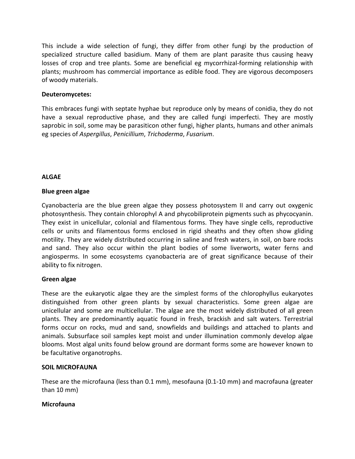This include a wide selection of fungi, they differ from other fungi by the production of specialized structure called basidium. Many of them are plant parasite thus causing heavy losses of crop and tree plants. Some are beneficial eg mycorrhizal-forming relationship with plants; mushroom has commercial importance as edible food. They are vigorous decomposers of woody materials.

# **Deuteromycetes:**

This embraces fungi with septate hyphae but reproduce only by means of conidia, they do not have a sexual reproductive phase, and they are called fungi imperfecti. They are mostly saprobic in soil, some may be parasiticon other fungi, higher plants, humans and other animals eg species of *Aspergillus*, *Penicillium*, *Trichoderma*, *Fusarium*.

# **ALGAE**

# **Blue green algae**

Cyanobacteria are the blue green algae they possess photosystem II and carry out oxygenic photosynthesis. They contain chlorophyl A and phycobiliprotein pigments such as phycocyanin. They exist in unicellular, colonial and filamentous forms. They have single cells, reproductive cells or units and filamentous forms enclosed in rigid sheaths and they often show gliding motility. They are widely distributed occurring in saline and fresh waters, in soil, on bare rocks and sand. They also occur within the plant bodies of some liverworts, water ferns and angiosperms. In some ecosystems cyanobacteria are of great significance because of their ability to fix nitrogen.

# **Green algae**

These are the eukaryotic algae they are the simplest forms of the chlorophyllus eukaryotes distinguished from other green plants by sexual characteristics. Some green algae are unicellular and some are multicellular. The algae are the most widely distributed of all green plants. They are predominantly aquatic found in fresh, brackish and salt waters. Terrestrial forms occur on rocks, mud and sand, snowfields and buildings and attached to plants and animals. Subsurface soil samples kept moist and under illumination commonly develop algae blooms. Most algal units found below ground are dormant forms some are however known to be facultative organotrophs.

# **SOIL MICROFAUNA**

These are the microfauna (less than 0.1 mm), mesofauna (0.1-10 mm) and macrofauna (greater than 10 mm)

# **Microfauna**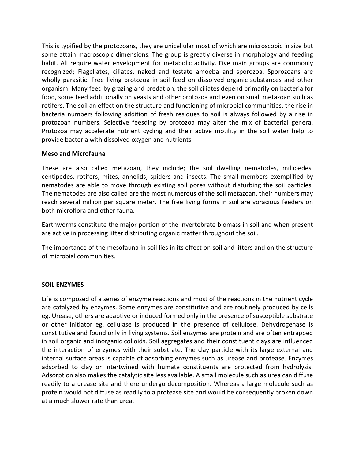This is typified by the protozoans, they are unicellular most of which are microscopic in size but some attain macroscopic dimensions. The group is greatly diverse in morphology and feeding habit. All require water envelopment for metabolic activity. Five main groups are commonly recognized; Flagellates, ciliates, naked and testate amoeba and sporozoa. Sporozoans are wholly parasitic. Free living protozoa in soil feed on dissolved organic substances and other organism. Many feed by grazing and predation, the soil ciliates depend primarily on bacteria for food, some feed additionally on yeasts and other protozoa and even on small metazoan such as rotifers. The soil an effect on the structure and functioning of microbial communities, the rise in bacteria numbers following addition of fresh residues to soil is always followed by a rise in protozoan numbers. Selective feesding by protozoa may alter the mix of bacterial genera. Protozoa may accelerate nutrient cycling and their active motility in the soil water help to provide bacteria with dissolved oxygen and nutrients.

## **Meso and Microfauna**

These are also called metazoan, they include; the soil dwelling nematodes, millipedes, centipedes, rotifers, mites, annelids, spiders and insects. The small members exemplified by nematodes are able to move through existing soil pores without disturbing the soil particles. The nematodes are also called are the most numerous of the soil metazoan, their numbers may reach several million per square meter. The free living forms in soil are voracious feeders on both microflora and other fauna.

Earthworms constitute the major portion of the invertebrate biomass in soil and when present are active in processing litter distributing organic matter throughout the soil.

The importance of the mesofauna in soil lies in its effect on soil and litters and on the structure of microbial communities.

## **SOIL ENZYMES**

Life is composed of a series of enzyme reactions and most of the reactions in the nutrient cycle are catalyzed by enzymes. Some enzymes are constitutive and are routinely produced by cells eg. Urease, others are adaptive or induced formed only in the presence of susceptible substrate or other initiator eg. cellulase is produced in the presence of cellulose. Dehydrogenase is constitutive and found only in living systems. Soil enzymes are protein and are often entrapped in soil organic and inorganic colloids. Soil aggregates and their constituent clays are influenced the interaction of enzymes with their substrate. The clay particle with its large external and internal surface areas is capable of adsorbing enzymes such as urease and protease. Enzymes adsorbed to clay or intertwined with humate constituents are protected from hydrolysis. Adsorption also makes the catalytic site less available. A small molecule such as urea can diffuse readily to a urease site and there undergo decomposition. Whereas a large molecule such as protein would not diffuse as readily to a protease site and would be consequently broken down at a much slower rate than urea.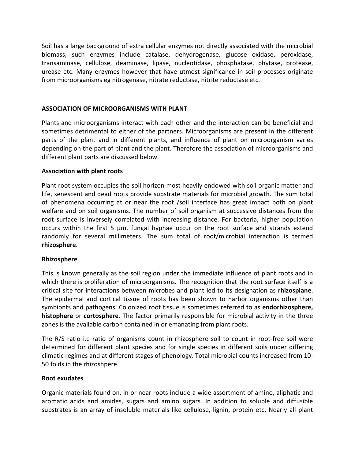Soil has a large background of extra cellular enzymes not directly associated with the microbial biomass, such enzymes include catalase, dehydrogenase, glucose oxidase, peroxidase, transaminase, cellulose, deaminase, lipase, nucleotidase, phosphatase, phytase, protease, urease etc. Many enzymes however that have utmost significance in soil processes originate from microorganisms eg nitrogenase, nitrate reductase, nitrite reductase etc.

# **ASSOCIATION OF MICROORGANISMS WITH PLANT**

Plants and microorganisms interact with each other and the interaction can be beneficial and sometimes detrimental to either of the partners. Microorganisms are present in the different parts of the plant and in different plants, and influence of plant on microorganism varies depending on the part of plant and the plant. Therefore the association of microorganisms and different plant parts are discussed below.

# **Association with plant roots**

Plant root system occupies the soil horizon most heavily endowed with soil organic matter and life, senescent and dead roots provide substrate materials for microbial growth. The sum total of phenomena occurring at or near the root /soil interface has great impact both on plant welfare and on soil organisms. The number of soil organism at successive distances from the root surface is inversely correlated with increasing distance. For bacteria, higher population occurs within the first 5 µm, fungal hyphae occur on the root surface and strands extend randomly for several millimeters. The sum total of root/microbial interaction is termed **rhizosphere**.

## **Rhizosphere**

This is known generally as the soil region under the immediate influence of plant roots and in which there is proliferation of microorganisms. The recognition that the root surface itself is a critical site for interactions between microbes and plant led to its designation as **rhizosplane**. The epidermal and cortical tissue of roots has been shown to harbor organisms other than symbionts and pathogens. Colonized root tissue is sometimes referred to as **endorhizosphere, histophere** or **cortosphere**. The factor primarily responsible for microbial activity in the three zones is the available carbon contained in or emanating from plant roots.

The R/S ratio i.e ratio of organisms count in rhizosphere soil to count in root-free soil were determined for different plant species and for single species in different soils under differing climatic regimes and at different stages of phenology. Total microbial counts increased from 10- 50 folds in the rhizoshpere.

## **Root exudates**

Organic materials found on, in or near roots include a wide assortment of amino, aliphatic and aromatic acids and amides, sugars and amino sugars. In addition to soluble and diffusible substrates is an array of insoluble materials like cellulose, lignin, protein etc. Nearly all plant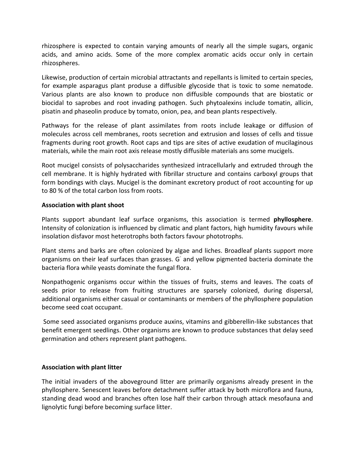rhizosphere is expected to contain varying amounts of nearly all the simple sugars, organic acids, and amino acids. Some of the more complex aromatic acids occur only in certain rhizospheres.

Likewise, production of certain microbial attractants and repellants is limited to certain species, for example asparagus plant produse a diffusible glycoside that is toxic to some nematode. Various plants are also known to produce non diffusible compounds that are biostatic or biocidal to saprobes and root invading pathogen. Such phytoalexins include tomatin, allicin, pisatin and phaseolin produce by tomato, onion, pea, and bean plants respectively.

Pathways for the release of plant assimilates from roots include leakage or diffusion of molecules across cell membranes, roots secretion and extrusion and losses of cells and tissue fragments during root growth. Root caps and tips are sites of active exudation of mucilaginous materials, while the main root axis release mostly diffusible materials ans some mucigels.

Root mucigel consists of polysaccharides synthesized intracellularly and extruded through the cell membrane. It is highly hydrated with fibrillar structure and contains carboxyl groups that form bondings with clays. Mucigel is the dominant excretory product of root accounting for up to 80 % of the total carbon loss from roots.

# **Association with plant shoot**

Plants support abundant leaf surface organisms, this association is termed **phyllosphere**. Intensity of colonization is influenced by climatic and plant factors, high humidity favours while insolation disfavor most heterotrophs both factors favour phototrophs.

Plant stems and barks are often colonized by algae and liches. Broadleaf plants support more organisms on their leaf surfaces than grasses. G and yellow pigmented bacteria dominate the bacteria flora while yeasts dominate the fungal flora.

Nonpathogenic organisms occur within the tissues of fruits, stems and leaves. The coats of seeds prior to release from fruiting structures are sparsely colonized, during dispersal, additional organisms either casual or contaminants or members of the phyllosphere population become seed coat occupant.

 Some seed associated organisms produce auxins, vitamins and gibberellin-like substances that benefit emergent seedlings. Other organisms are known to produce substances that delay seed germination and others represent plant pathogens.

# **Association with plant litter**

The initial invaders of the aboveground litter are primarily organisms already present in the phyllosphere. Senescent leaves before detachment suffer attack by both microflora and fauna, standing dead wood and branches often lose half their carbon through attack mesofauna and lignolytic fungi before becoming surface litter.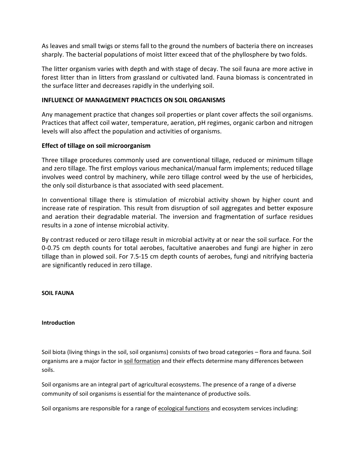As leaves and small twigs or stems fall to the ground the numbers of bacteria there on increases sharply. The bacterial populations of moist litter exceed that of the phyllosphere by two folds.

The litter organism varies with depth and with stage of decay. The soil fauna are more active in forest litter than in litters from grassland or cultivated land. Fauna biomass is concentrated in the surface litter and decreases rapidly in the underlying soil.

# **INFLUENCE OF MANAGEMENT PRACTICES ON SOIL ORGANISMS**

Any management practice that changes soil properties or plant cover affects the soil organisms. Practices that affect coil water, temperature, aeration, pH regimes, organic carbon and nitrogen levels will also affect the population and activities of organisms.

# **Effect of tillage on soil microorganism**

Three tillage procedures commonly used are conventional tillage, reduced or minimum tillage and zero tillage. The first employs various mechanical/manual farm implements; reduced tillage involves weed control by machinery, while zero tillage control weed by the use of herbicides, the only soil disturbance is that associated with seed placement.

In conventional tillage there is stimulation of microbial activity shown by higher count and increase rate of respiration. This result from disruption of soil aggregates and better exposure and aeration their degradable material. The inversion and fragmentation of surface residues results in a zone of intense microbial activity.

By contrast reduced or zero tillage result in microbial activity at or near the soil surface. For the 0-0.75 cm depth counts for total aerobes, facultative anaerobes and fungi are higher in zero tillage than in plowed soil. For 7.5-15 cm depth counts of aerobes, fungi and nitrifying bacteria are significantly reduced in zero tillage.

# **SOIL FAUNA**

## **Introduction**

Soil biota (living things in the soil, soil organisms) consists of two broad categories – flora and fauna. Soil organisms are a major factor in soil formation and their effects determine many differences between soils.

Soil organisms are an integral part of agricultural ecosystems. The presence of a range of a diverse community of soil organisms is essential for the maintenance of productive soils.

Soil organisms are responsible for a range of ecological functions and ecosystem services including: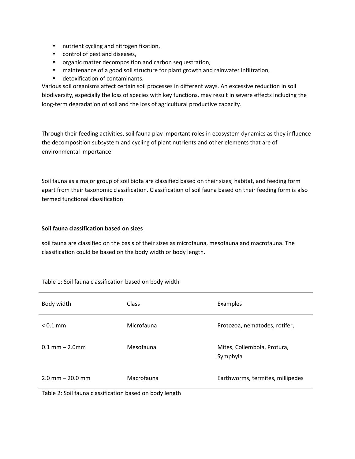- nutrient cycling and nitrogen fixation,
- control of pest and diseases,
- organic matter decomposition and carbon sequestration,
- maintenance of a good soil structure for plant growth and rainwater infiltration,
- detoxification of contaminants.

Various soil organisms affect certain soil processes in different ways. An excessive reduction in soil biodiversity, especially the loss of species with key functions, may result in severe effects including the long-term degradation of soil and the loss of agricultural productive capacity.

Through their feeding activities, soil fauna play important roles in ecosystem dynamics as they influence the decomposition subsystem and cycling of plant nutrients and other elements that are of environmental importance.

Soil fauna as a major group of soil biota are classified based on their sizes, habitat, and feeding form apart from their taxonomic classification. Classification of soil fauna based on their feeding form is also termed functional classification

## **Soil fauna classification based on sizes**

soil fauna are classified on the basis of their sizes as microfauna, mesofauna and macrofauna. The classification could be based on the body width or body length.

| Body width                            | <b>Class</b> | Examples                                |
|---------------------------------------|--------------|-----------------------------------------|
| $< 0.1$ mm                            | Microfauna   | Protozoa, nematodes, rotifer,           |
| $0.1 \, \text{mm} - 2.0 \, \text{mm}$ | Mesofauna    | Mites, Collembola, Protura,<br>Symphyla |
| $2.0$ mm $- 20.0$ mm                  | Macrofauna   | Earthworms, termites, millipedes        |

Table 1: Soil fauna classification based on body width

Table 2: Soil fauna classification based on body length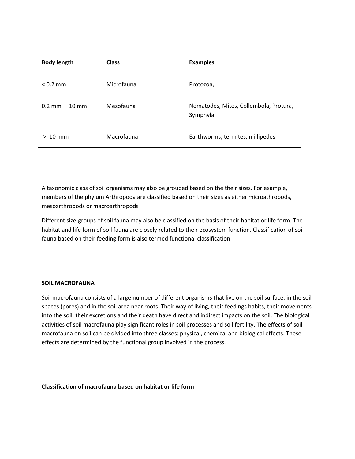| <b>Body length</b>               | <b>Class</b> | <b>Examples</b>                                    |
|----------------------------------|--------------|----------------------------------------------------|
| $< 0.2$ mm                       | Microfauna   | Protozoa,                                          |
| $0.2 \text{ mm} - 10 \text{ mm}$ | Mesofauna    | Nematodes, Mites, Collembola, Protura,<br>Symphyla |
| $> 10$ mm                        | Macrofauna   | Earthworms, termites, millipedes                   |

A taxonomic class of soil organisms may also be grouped based on the their sizes. For example, members of the phylum Arthropoda are classified based on their sizes as either microathropods, mesoarthropods or macroarthropods

Different size-groups of soil fauna may also be classified on the basis of their habitat or life form. The habitat and life form of soil fauna are closely related to their ecosystem function. Classification of soil fauna based on their feeding form is also termed functional classification

#### **SOIL MACROFAUNA**

Soil macrofauna consists of a large number of different organisms that live on the soil surface, in the soil spaces (pores) and in the soil area near roots. Their way of living, their feedings habits, their movements into the soil, their excretions and their death have direct and indirect impacts on the soil. The biological activities of soil macrofauna play significant roles in soil processes and soil fertility. The effects of soil macrofauna on soil can be divided into three classes: physical, chemical and biological effects. These effects are determined by the functional group involved in the process.

#### **Classification of macrofauna based on habitat or life form**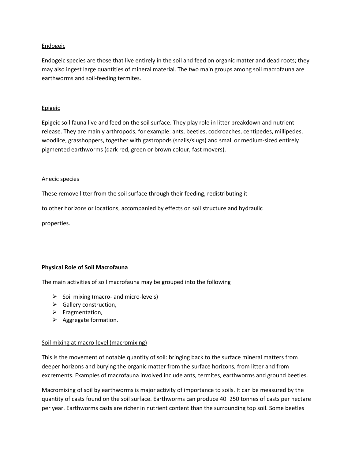## Endogeic

Endogeic species are those that live entirely in the soil and feed on organic matter and dead roots; they may also ingest large quantities of mineral material. The two main groups among soil macrofauna are earthworms and soil-feeding termites.

## **Epigeic**

Epigeic soil fauna live and feed on the soil surface. They play role in litter breakdown and nutrient release. They are mainly arthropods, for example: ants, beetles, cockroaches, centipedes, millipedes, woodlice, grasshoppers, together with gastropods (snails/slugs) and small or medium-sized entirely pigmented earthworms (dark red, green or brown colour, fast movers).

## Anecic species

These remove litter from the soil surface through their feeding, redistributing it

to other horizons or locations, accompanied by effects on soil structure and hydraulic

properties.

# **Physical Role of Soil Macrofauna**

The main activities of soil macrofauna may be grouped into the following

- $\triangleright$  Soil mixing (macro- and micro-levels)
- $\triangleright$  Gallery construction,
- $\triangleright$  Fragmentation,
- $\triangleright$  Aggregate formation.

## Soil mixing at macro-level (macromixing)

This is the movement of notable quantity of soil: bringing back to the surface mineral matters from deeper horizons and burying the organic matter from the surface horizons, from litter and from excrements. Examples of macrofauna involved include ants, termites, earthworms and ground beetles.

Macromixing of soil by earthworms is major activity of importance to soils. It can be measured by the quantity of casts found on the soil surface. Earthworms can produce 40–250 tonnes of casts per hectare per year. Earthworms casts are richer in nutrient content than the surrounding top soil. Some beetles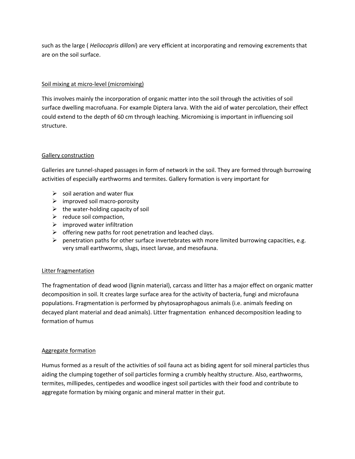such as the large ( *Heliocopris dilloni*) are very efficient at incorporating and removing excrements that are on the soil surface.

## Soil mixing at micro-level (micromixing)

This involves mainly the incorporation of organic matter into the soil through the activities of soil surface dwelling macrofuana. For example Diptera larva. With the aid of water percolation, their effect could extend to the depth of 60 cm through leaching. Micromixing is important in influencing soil structure.

## Gallery construction

Galleries are tunnel-shaped passages in form of network in the soil. They are formed through burrowing activities of especially earthworms and termites. Gallery formation is very important for

- $\triangleright$  soil aeration and water flux
- $\triangleright$  improved soil macro-porosity
- $\triangleright$  the water-holding capacity of soil
- $\triangleright$  reduce soil compaction,
- $\triangleright$  improved water infiltration
- $\triangleright$  offering new paths for root penetration and leached clays.
- $\triangleright$  penetration paths for other surface invertebrates with more limited burrowing capacities, e.g. very small earthworms, slugs, insect larvae, and mesofauna.

## Litter fragmentation

The fragmentation of dead wood (lignin material), carcass and litter has a major effect on organic matter decomposition in soil. It creates large surface area for the activity of bacteria, fungi and microfauna populations. Fragmentation is performed by phytosaprophagous animals (i.e. animals feeding on decayed plant material and dead animals). Litter fragmentation enhanced decomposition leading to formation of humus

## Aggregate formation

Humus formed as a result of the activities of soil fauna act as biding agent for soil mineral particles thus aiding the clumping together of soil particles forming a crumbly healthy structure. Also, earthworms, termites, millipedes, centipedes and woodlice ingest soil particles with their food and contribute to aggregate formation by mixing organic and mineral matter in their gut.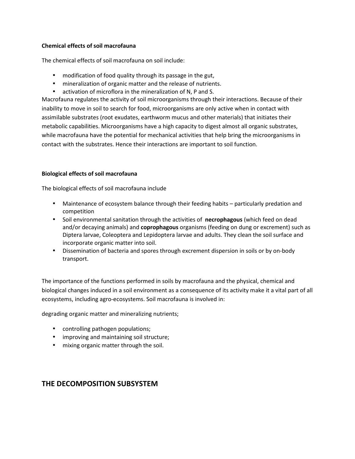## **Chemical effects of soil macrofauna**

The chemical effects of soil macrofauna on soil include:

- modification of food quality through its passage in the gut,
- mineralization of organic matter and the release of nutrients.
- activation of microflora in the mineralization of N, P and S.

Macrofauna regulates the activity of soil microorganisms through their interactions. Because of their inability to move in soil to search for food, microorganisms are only active when in contact with assimilable substrates (root exudates, earthworm mucus and other materials) that initiates their metabolic capabilities. Microorganisms have a high capacity to digest almost all organic substrates, while macrofauna have the potential for mechanical activities that help bring the microorganisms in contact with the substrates. Hence their interactions are important to soil function.

## **Biological effects of soil macrofauna**

The biological effects of soil macrofauna include

- Maintenance of ecosystem balance through their feeding habits particularly predation and competition
- Soil environmental sanitation through the activities of **necrophagous** (which feed on dead and/or decaying animals) and **coprophagous** organisms (feeding on dung or excrement) such as Diptera larvae, Coleoptera and Lepidoptera larvae and adults. They clean the soil surface and incorporate organic matter into soil.
- Dissemination of bacteria and spores through excrement dispersion in soils or by on-body transport.

The importance of the functions performed in soils by macrofauna and the physical, chemical and biological changes induced in a soil environment as a consequence of its activity make it a vital part of all ecosystems, including agro-ecosystems. Soil macrofauna is involved in:

degrading organic matter and mineralizing nutrients;

- controlling pathogen populations;
- improving and maintaining soil structure;
- mixing organic matter through the soil.

# **THE DECOMPOSITION SUBSYSTEM**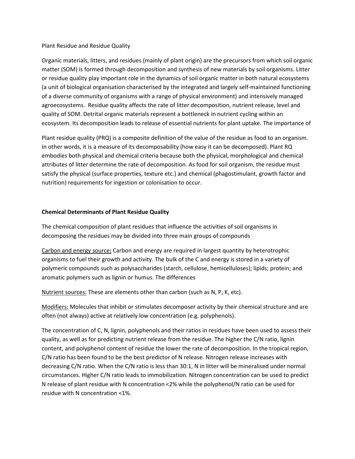## Plant Residue and Residue Quality

Organic materials, litters, and residues (mainly of plant origin) are the precursors from which soil organic matter (SOM) is formed through decomposition and synthesis of new materials by soil organisms. Litter or residue quality play important role in the dynamics of soil organic matter in both natural ecosystems (a unit of biological organisation characterised by the integrated and largely self-maintained functioning of a diverse community of organisms with a range of physical environment) and intensively managed agroecosystems. Residue quality affects the rate of litter decomposition, nutrient release, level and quality of SOM. Detrital organic materials represent a bottleneck in nutrient cycling within an ecosystem. Its decomposition leads to release of essential nutrients for plant uptake. The importance of

Plant residue quality (PRQ) is a composite definition of the value of the residue as food to an organism. In other words, it is a measure of its decomposability (how easy it can be decomposed). Plant RQ embodies both physical and chemical criteria because both the physical, morphological and chemical attributes of litter determine the rate of decomposition. As food for soil organism, the residue must satisfy the physical (surface properties, texture etc.) and chemical (phagostimulant, growth factor and nutrition) requirements for ingestion or colonisation to occur.

## **Chemical Determinants of Plant Residue Quality**

The chemical composition of plant residues that influence the activities of soil organisms in decomposing the residues may be divided into three main groups of compounds

Carbon and energy source**:** Carbon and energy are required in largest quantity by heterotrophic organisms to fuel their growth and activity. The bulk of the C and energy is stored in a variety of polymeric compounds such as polysaccharides (starch, cellulose, hemicelluloses); lipids; protein; and aromatic polymers such as lignin or humus. The differences

Nutrient sources: These are elements other than carbon (such as N, P, K, etc).

Modifiers: Molecules that inhibit or stimulates decomposer activity by their chemical structure and are often (not always) active at relatively low concentration (e.g. polyphenols).

The concentration of C, N, lignin, polyphenols and their ratios in residues have been used to assess their quality, as well as for predicting nutrient release from the residue. The higher the C/N ratio, lignin content, and polyphenol content of residue the lower the rate of decomposition. In the tropical region, C/N ratio has been found to be the best predictor of N release. Nitrogen release increases with decreasing C/N ratio. When the C/N ratio is less than 30:1, N in litter will be mineralised under normal circumstances. Higher C/N ratio leads to immobilization. Nitrogen concentration can be used to predict N release of plant residue with N concentration <2% while the polyphenol/N ratio can be used for residue with N concentration <1%.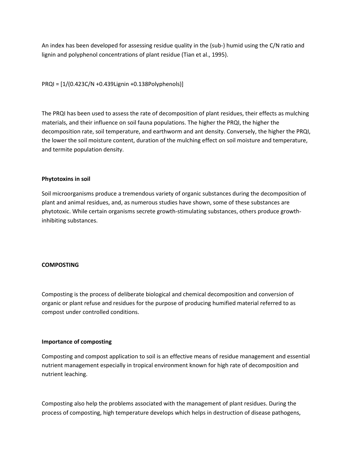An index has been developed for assessing residue quality in the (sub-) humid using the C/N ratio and lignin and polyphenol concentrations of plant residue (Tian et al., 1995).

PRQI = [1/(0.423C/N +0.439Lignin +0.138Polyphenols)]

The PRQI has been used to assess the rate of decomposition of plant residues, their effects as mulching materials, and their influence on soil fauna populations. The higher the PRQI, the higher the decomposition rate, soil temperature, and earthworm and ant density. Conversely, the higher the PRQI, the lower the soil moisture content, duration of the mulching effect on soil moisture and temperature, and termite population density.

## **Phytotoxins in soil**

Soil microorganisms produce a tremendous variety of organic substances during the decomposition of plant and animal residues, and, as numerous studies have shown, some of these substances are phytotoxic. While certain organisms secrete growth-stimulating substances, others produce growthinhibiting substances.

## **COMPOSTING**

Composting is the process of deliberate biological and chemical decomposition and conversion of organic or plant refuse and residues for the purpose of producing humified material referred to as compost under controlled conditions.

## **Importance of composting**

Composting and compost application to soil is an effective means of residue management and essential nutrient management especially in tropical environment known for high rate of decomposition and nutrient leaching.

Composting also help the problems associated with the management of plant residues. During the process of composting, high temperature develops which helps in destruction of disease pathogens,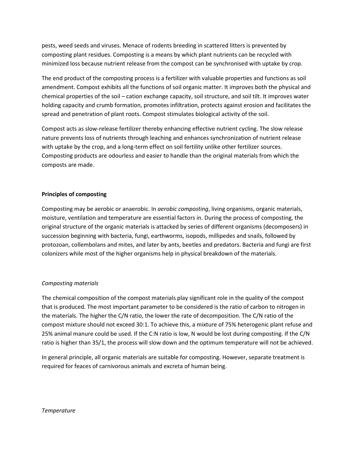pests, weed seeds and viruses. Menace of rodents breeding in scattered litters is prevented by composting plant residues. Composting is a means by which plant nutrients can be recycled with minimized loss because nutrient release from the compost can be synchronised with uptake by crop.

The end product of the composting process is a fertilizer with valuable properties and functions as soil amendment. Compost exhibits all the functions of soil organic matter. It improves both the physical and chemical properties of the soil – cation exchange capacity, soil structure, and soil tilt. It improves water holding capacity and crumb formation, promotes infiltration, protects against erosion and facilitates the spread and penetration of plant roots. Compost stimulates biological activity of the soil.

Compost acts as slow-release fertilizer thereby enhancing effective nutrient cycling. The slow release nature prevents loss of nutrients through leaching and enhances synchronization of nutrient release with uptake by the crop, and a long-term effect on soil fertility unlike other fertilizer sources. Composting products are odourless and easier to handle than the original materials from which the composts are made.

## **Principles of composting**

Composting may be aerobic or anaerobic. In *aerobic composting*, living organisms, organic materials, moisture, ventilation and temperature are essential factors in. During the process of composting, the original structure of the organic materials is attacked by series of different organisms (decomposers) in succession beginning with bacteria, fungi, earthworms, isopods, millipedes and snails, followed by protozoan, collembolans and mites, and later by ants, beetles and predators. Bacteria and fungi are first colonizers while most of the higher organisms help in physical breakdown of the materials.

## *Composting materials*

The chemical composition of the compost materials play significant role in the quality of the compost that is produced. The most important parameter to be considered is the ratio of carbon to nitrogen in the materials. The higher the C/N ratio, the lower the rate of decomposition. The C/N ratio of the compost mixture should not exceed 30:1. To achieve this, a mixture of 75% heterogenic plant refuse and 25% animal manure could be used. If the C:N ratio is low, N would be lost during composting. If the C/N ratio is higher than 35/1, the process will slow down and the optimum temperature will not be achieved.

In general principle, all organic materials are suitable for composting. However, separate treatment is required for feaces of carnivorous animals and excreta of human being.

#### *Temperature*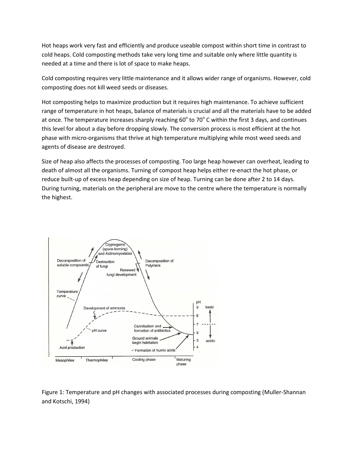Hot heaps work very fast and efficiently and produce useable compost within short time in contrast to cold heaps. Cold composting methods take very long time and suitable only where little quantity is needed at a time and there is lot of space to make heaps.

Cold composting requires very little maintenance and it allows wider range of organisms. However, cold composting does not kill weed seeds or diseases.

Hot composting helps to maximize production but it requires high maintenance. To achieve sufficient range of temperature in hot heaps, balance of materials is crucial and all the materials have to be added at once. The temperature increases sharply reaching 60 $^{\circ}$  to 70 $^{\circ}$  C within the first 3 days, and continues this level for about a day before dropping slowly. The conversion process is most efficient at the hot phase with micro-organisms that thrive at high temperature multiplying while most weed seeds and agents of disease are destroyed.

Size of heap also affects the processes of composting. Too large heap however can overheat, leading to death of almost all the organisms. Turning of compost heap helps either re-enact the hot phase, or reduce built-up of excess heap depending on size of heap. Turning can be done after 2 to 14 days. During turning, materials on the peripheral are move to the centre where the temperature is normally the highest.



Figure 1: Temperature and pH changes with associated processes during composting (Muller-Shannan and Kotschi, 1994)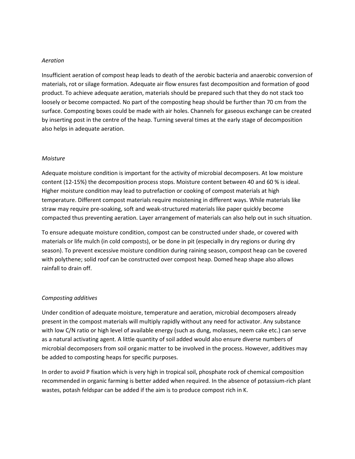#### *Aeration*

Insufficient aeration of compost heap leads to death of the aerobic bacteria and anaerobic conversion of materials, rot or silage formation. Adequate air flow ensures fast decomposition and formation of good product. To achieve adequate aeration, materials should be prepared such that they do not stack too loosely or become compacted. No part of the composting heap should be further than 70 cm from the surface. Composting boxes could be made with air holes. Channels for gaseous exchange can be created by inserting post in the centre of the heap. Turning several times at the early stage of decomposition also helps in adequate aeration.

### *Moisture*

Adequate moisture condition is important for the activity of microbial decomposers. At low moisture content (12-15%) the decomposition process stops. Moisture content between 40 and 60 % is ideal. Higher moisture condition may lead to putrefaction or cooking of compost materials at high temperature. Different compost materials require moistening in different ways. While materials like straw may require pre-soaking, soft and weak-structured materials like paper quickly become compacted thus preventing aeration. Layer arrangement of materials can also help out in such situation.

To ensure adequate moisture condition, compost can be constructed under shade, or covered with materials or life mulch (in cold composts), or be done in pit (especially in dry regions or during dry season). To prevent excessive moisture condition during raining season, compost heap can be covered with polythene; solid roof can be constructed over compost heap. Domed heap shape also allows rainfall to drain off.

## *Composting additives*

Under condition of adequate moisture, temperature and aeration, microbial decomposers already present in the compost materials will multiply rapidly without any need for activator. Any substance with low C/N ratio or high level of available energy (such as dung, molasses, neem cake etc.) can serve as a natural activating agent. A little quantity of soil added would also ensure diverse numbers of microbial decomposers from soil organic matter to be involved in the process. However, additives may be added to composting heaps for specific purposes.

In order to avoid P fixation which is very high in tropical soil, phosphate rock of chemical composition recommended in organic farming is better added when required. In the absence of potassium-rich plant wastes, potash feldspar can be added if the aim is to produce compost rich in K.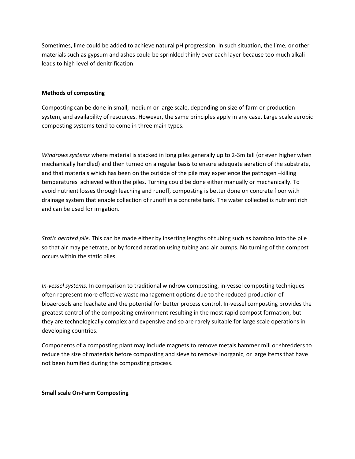Sometimes, lime could be added to achieve natural pH progression. In such situation, the lime, or other materials such as gypsum and ashes could be sprinkled thinly over each layer because too much alkali leads to high level of denitrification.

### **Methods of composting**

Composting can be done in small, medium or large scale, depending on size of farm or production system, and availability of resources. However, the same principles apply in any case. Large scale aerobic composting systems tend to come in three main types.

*Windrows systems* where material is stacked in long piles generally up to 2-3m tall (or even higher when mechanically handled) and then turned on a regular basis to ensure adequate aeration of the substrate, and that materials which has been on the outside of the pile may experience the pathogen -killing temperatures achieved within the piles. Turning could be done either manually or mechanically. To avoid nutrient losses through leaching and runoff, composting is better done on concrete floor with drainage system that enable collection of runoff in a concrete tank. The water collected is nutrient rich and can be used for irrigation.

*Static aerated pile*. This can be made either by inserting lengths of tubing such as bamboo into the pile so that air may penetrate, or by forced aeration using tubing and air pumps. No turning of the compost occurs within the static piles

*In-vessel systems.* In comparison to traditional windrow composting, in-vessel composting techniques often represent more effective waste management options due to the reduced production of bioaerosols and leachate and the potential for better process control. In-vessel composting provides the greatest control of the compositing environment resulting in the most rapid compost formation, but they are technologically complex and expensive and so are rarely suitable for large scale operations in developing countries.

Components of a composting plant may include magnets to remove metals hammer mill or shredders to reduce the size of materials before composting and sieve to remove inorganic, or large items that have not been humified during the composting process.

**Small scale On-Farm Composting**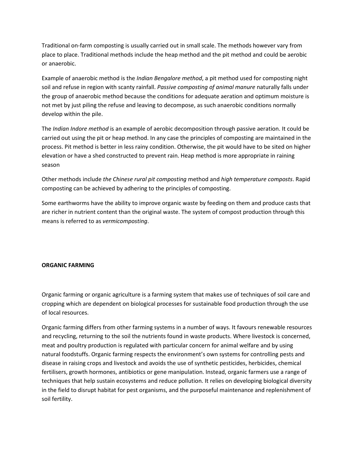Traditional on-farm composting is usually carried out in small scale. The methods however vary from place to place. Traditional methods include the heap method and the pit method and could be aerobic or anaerobic.

Example of anaerobic method is the *Indian Bengalore method*, a pit method used for composting night soil and refuse in region with scanty rainfall. *Passive composting of animal manure* naturally falls under the group of anaerobic method because the conditions for adequate aeration and optimum moisture is not met by just piling the refuse and leaving to decompose, as such anaerobic conditions normally develop within the pile.

The *Indian Indore method* is an example of aerobic decomposition through passive aeration. It could be carried out using the pit or heap method. In any case the principles of composting are maintained in the process. Pit method is better in less rainy condition. Otherwise, the pit would have to be sited on higher elevation or have a shed constructed to prevent rain. Heap method is more appropriate in raining season

Other methods include *the Chinese rural pit composting* method and *high temperature composts*. Rapid composting can be achieved by adhering to the principles of composting.

Some earthworms have the ability to improve organic waste by feeding on them and produce casts that are richer in nutrient content than the original waste. The system of compost production through this means is referred to as *vermicomposting*.

## **ORGANIC FARMING**

Organic farming or organic agriculture is a farming system that makes use of techniques of soil care and cropping which are dependent on biological processes for sustainable food production through the use of local resources.

Organic farming differs from other farming systems in a number of ways. It favours renewable resources and recycling, returning to the soil the nutrients found in waste products. Where livestock is concerned, meat and poultry production is regulated with particular concern for animal welfare and by using natural foodstuffs. Organic farming respects the environment's own systems for controlling pests and disease in raising crops and livestock and avoids the use of synthetic pesticides, herbicides, chemical fertilisers, growth hormones, antibiotics or gene manipulation. Instead, organic farmers use a range of techniques that help sustain ecosystems and reduce pollution. It relies on developing biological diversity in the field to disrupt habitat for pest organisms, and the purposeful maintenance and replenishment of soil fertility.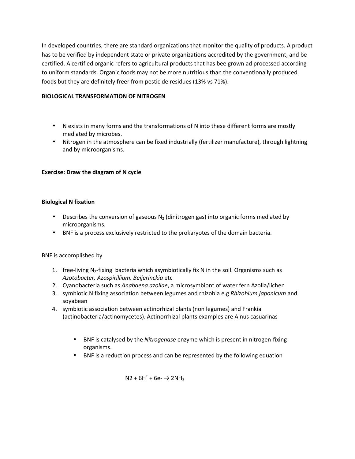In developed countries, there are standard organizations that monitor the quality of products. A product has to be verified by independent state or private organizations accredited by the government, and be certified. A certified organic refers to agricultural products that has bee grown ad processed according to uniform standards. Organic foods may not be more nutritious than the conventionally produced foods but they are definitely freer from pesticide residues (13% vs 71%).

# **BIOLOGICAL TRANSFORMATION OF NITROGEN**

- N exists in many forms and the transformations of N into these different forms are mostly mediated by microbes.
- Nitrogen in the atmosphere can be fixed industrially (fertilizer manufacture), through lightning and by microorganisms.

## **Exercise: Draw the diagram of N cycle**

## **Biological N fixation**

- Describes the conversion of gaseous  $N_2$  (dinitrogen gas) into organic forms mediated by microorganisms.
- BNF is a process exclusively restricted to the prokaryotes of the domain bacteria.

## BNF is accomplished by

- 1. free-living  $N_2$ -fixing bacteria which asymbiotically fix N in the soil. Organisms such as *Azotobacter, Azospirillium, Beijerinckia* etc
- 2. Cyanobacteria such as *Anabaena azollae*, a microsymbiont of water fern Azolla/lichen
- 3. symbiotic N fixing association between legumes and rhizobia e.g *Rhizobium japonicum* and soyabean
- 4. symbiotic association between actinorhizal plants (non legumes) and Frankia (actinobacteria/actinomycetes). Actinorrhizal plants examples are Alnus casuarinas
	- BNF is catalysed by the *Nitrogenase* enzyme which is present in nitrogen-fixing organisms.
	- BNF is a reduction process and can be represented by the following equation

 $N2 + 6H^{+} + 6e^{-} \rightarrow 2NH_{3}$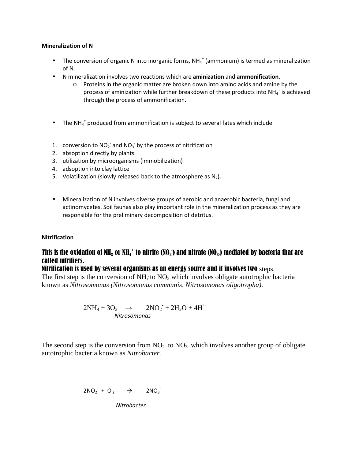## **Mineralization of N**

- The conversion of organic N into inorganic forms,  $NH_4^+$  (ammonium) is termed as mineralization of N.
- N mineralization involves two reactions which are **aminization** and **ammonification**.
	- o Proteins in the organic matter are broken down into amino acids and amine by the process of aminization while further breakdown of these products into NH $_4^+$  is achieved through the process of ammonification.
- The NH $_4^+$  produced from ammonification is subject to several fates which include
- 1. conversion to  $NO<sub>2</sub>$  and  $NO<sub>3</sub>$  by the process of nitrification
- 2. absoption directly by plants
- 3. utilization by microorganisms (immobilization)
- 4. adsoption into clay lattice
- 5. Volatilization (slowly released back to the atmosphere as  $N_2$ ).
- Mineralization of N involves diverse groups of aerobic and anaerobic bacteria, fungi and actinomycetes. Soil faunas also play important role in the mineralization process as they are responsible for the preliminary decomposition of detritus.

## **Nitrification**

# This is the oxidation of NH<sub>3</sub> or NH<sub>4</sub>+ to nitrite (NO<sub>2</sub>) and nitrate (NO<sub>3</sub>.) mediated by bacteria that are called nitrifiers.

# Nitrification is used by several organisms as an energy source and it involves two steps.

The first step is the conversion of  $NH_{4}$  to  $NO_{2}$  which involves obligate autotrophic bacteria known as *Nitrosomonas (Nitrosomonas communis, Nitrosomonas oligotropha)*.

$$
2NH_4 + 3O_2 \rightarrow 2NO_2 + 2H_2O + 4H^+
$$
  
Nitrosomonas

The second step is the conversion from  $NO_2^-$  to  $NO_3^-$  which involves another group of obligate autotrophic bacteria known as *Nitrobacter.*

$$
2NO_2 + O_2 \rightarrow 2NO_3
$$

*Nitrobacter*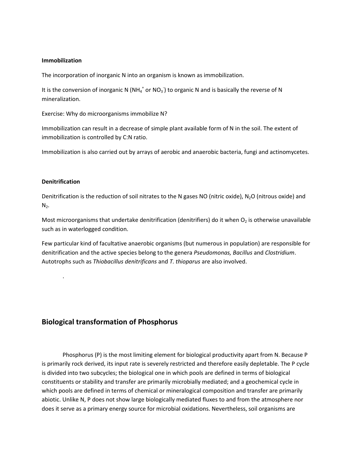## **Immobilization**

The incorporation of inorganic N into an organism is known as immobilization.

It is the conversion of inorganic N (NH<sub>4</sub><sup>+</sup> or NO<sub>3</sub>) to organic N and is basically the reverse of N mineralization.

Exercise: Why do microorganisms immobilize N?

Immobilization can result in a decrease of simple plant available form of N in the soil. The extent of immobilization is controlled by C:N ratio.

Immobilization is also carried out by arrays of aerobic and anaerobic bacteria, fungi and actinomycetes.

## **Denitrification**

.

Denitrification is the reduction of soil nitrates to the N gases NO (nitric oxide), N<sub>2</sub>O (nitrous oxide) and  $N<sub>2</sub>$ .

Most microorganisms that undertake denitrification (denitrifiers) do it when  $O<sub>2</sub>$  is otherwise unavailable such as in waterlogged condition.

Few particular kind of facultative anaerobic organisms (but numerous in population) are responsible for denitrification and the active species belong to the genera *Pseudomonas, Bacillus* and *Clostridium*. Autotrophs such as *Thiobacillus denitrificans* and *T. thioparus* are also involved.

# **Biological transformation of Phosphorus**

Phosphorus (P) is the most limiting element for biological productivity apart from N. Because P is primarily rock derived, its input rate is severely restricted and therefore easily depletable. The P cycle is divided into two subcycles; the biological one in which pools are defined in terms of biological constituents or stability and transfer are primarily microbially mediated; and a geochemical cycle in which pools are defined in terms of chemical or mineralogical composition and transfer are primarily abiotic. Unlike N, P does not show large biologically mediated fluxes to and from the atmosphere nor does it serve as a primary energy source for microbial oxidations. Nevertheless, soil organisms are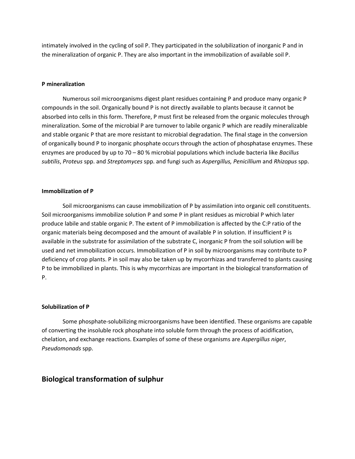intimately involved in the cycling of soil P. They participated in the solubilization of inorganic P and in the mineralization of organic P. They are also important in the immobilization of available soil P.

#### **P mineralization**

Numerous soil microorganisms digest plant residues containing P and produce many organic P compounds in the soil. Organically bound P is not directly available to plants because it cannot be absorbed into cells in this form. Therefore, P must first be released from the organic molecules through mineralization. Some of the microbial P are turnover to labile organic P which are readily mineralizable and stable organic P that are more resistant to microbial degradation. The final stage in the conversion of organically bound P to inorganic phosphate occurs through the action of phosphatase enzymes. These enzymes are produced by up to 70 – 80 % microbial populations which include bacteria like *Bacillus subtilis*, *Proteus* spp. and *Streptomyces* spp. and fungi such as *Aspergillus, Penicillium* and *Rhizopus* spp.

#### **Immobilization of P**

Soil microorganisms can cause immobilization of P by assimilation into organic cell constituents. Soil microorganisms immobilize solution P and some P in plant residues as microbial P which later produce labile and stable organic P. The extent of P immobilization is affected by the C:P ratio of the organic materials being decomposed and the amount of available P in solution. If insufficient P is available in the substrate for assimilation of the substrate C, inorganic P from the soil solution will be used and net immobilization occurs. Immobilization of P in soil by microorganisms may contribute to P deficiency of crop plants. P in soil may also be taken up by mycorrhizas and transferred to plants causing P to be immobilized in plants. This is why mycorrhizas are important in the biological transformation of P.

#### **Solubilization of P**

Some phosphate-solubilizing microorganisms have been identified. These organisms are capable of converting the insoluble rock phosphate into soluble form through the process of acidification, chelation, and exchange reactions. Examples of some of these organisms are *Aspergillus niger*, *Pseudomonads* spp.

## **Biological transformation of sulphur**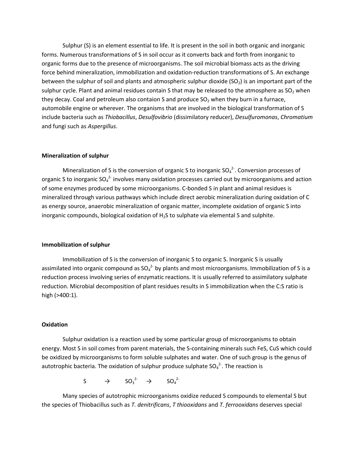Sulphur (S) is an element essential to life. It is present in the soil in both organic and inorganic forms. Numerous transformations of S in soil occur as it converts back and forth from inorganic to organic forms due to the presence of microorganisms. The soil microbial biomass acts as the driving force behind mineralization, immobilization and oxidation-reduction transformations of S. An exchange between the sulphur of soil and plants and atmospheric sulphur dioxide ( $SO<sub>2</sub>$ ) is an important part of the sulphur cycle. Plant and animal residues contain S that may be released to the atmosphere as  $SO_2$  when they decay. Coal and petroleum also contaion S and produce SO<sub>2</sub> when they burn in a furnace, automobile engine or wherever. The organisms that are involved in the biological transformation of S include bacteria such as *Thiobacillus*, *Desulfovibrio* (dissimilatory reducer), *Desulfuromonas*, *Chromatium* and fungi such as *Aspergillus*.

#### **Mineralization of sulphur**

Mineralization of S is the conversion of organic S to inorganic  $SO_4^{2}$ . Conversion processes of organic S to inorganic SO<sub>4</sub><sup>2-</sup> involves many oxidation processes carried out by microorganisms and action of some enzymes produced by some microorganisms. C-bonded S in plant and animal residues is mineralized through various pathways which include direct aerobic mineralization during oxidation of C as energy source, anaerobic mineralization of organic matter, incomplete oxidation of organic S into inorganic compounds, biological oxidation of H<sub>2</sub>S to sulphate via elemental S and sulphite.

#### **Immobilization of sulphur**

Immobilization of S is the conversion of inorganic S to organic S. Inorganic S is usually assimilated into organic compound as  ${SO_4}^{2}$  by plants and most microorganisms. Immobilization of S is a reduction process involving series of enzymatic reactions. It is usually referred to assimilatory sulphate reduction. Microbial decomposition of plant residues results in S immobilization when the C:S ratio is high (>400:1).

#### **Oxidation**

Sulphur oxidation is a reaction used by some particular group of microorganisms to obtain energy. Most S in soil comes from parent materials, the S-containing minerals such FeS, CuS which could be oxidized by microorganisms to form soluble sulphates and water. One of such group is the genus of autotrophic bacteria. The oxidation of sulphur produce sulphate  ${SO_4}^2$ . The reaction is

 $S \rightarrow SO_3^{2} \rightarrow SO_4^{2}$ 

Many species of autotrophic microorganisms oxidize reduced S compounds to elemental S but the species of Thiobacillus such as *T. denitrificans*, *T thiooxidans* and *T. ferrooxidans* deserves special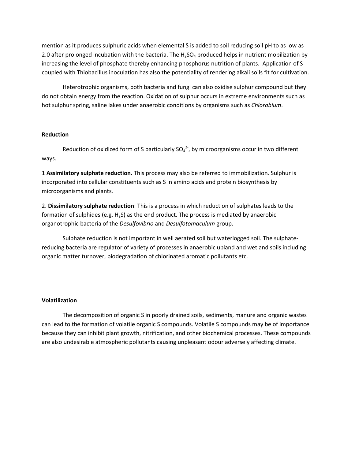mention as it produces sulphuric acids when elemental S is added to soil reducing soil pH to as low as 2.0 after prolonged incubation with the bacteria. The  $H_2SO_4$  produced helps in nutrient mobilization by increasing the level of phosphate thereby enhancing phosphorus nutrition of plants. Application of S coupled with Thiobacillus inoculation has also the potentiality of rendering alkali soils fit for cultivation.

Heterotrophic organisms, both bacteria and fungi can also oxidise sulphur compound but they do not obtain energy from the reaction. Oxidation of sulphur occurs in extreme environments such as hot sulphur spring, saline lakes under anaerobic conditions by organisms such as *Chlorobium*.

#### **Reduction**

Reduction of oxidized form of S particularly  $SO_4^2$ , by microorganisms occur in two different ways.

1 **Assimilatory sulphate reduction.** This process may also be referred to immobilization. Sulphur is incorporated into cellular constituents such as S in amino acids and protein biosynthesis by microorganisms and plants.

2. **Dissimilatory sulphate reduction**: This is a process in which reduction of sulphates leads to the formation of sulphides (e.g.  $H_2S$ ) as the end product. The process is mediated by anaerobic organotrophic bacteria of the *Desulfovibrio* and *Desulfotomaculum* group.

Sulphate reduction is not important in well aerated soil but waterlogged soil. The sulphatereducing bacteria are regulator of variety of processes in anaerobic upland and wetland soils including organic matter turnover, biodegradation of chlorinated aromatic pollutants etc.

#### **Volatilization**

The decomposition of organic S in poorly drained soils, sediments, manure and organic wastes can lead to the formation of volatile organic S compounds. Volatile S compounds may be of importance because they can inhibit plant growth, nitrification, and other biochemical processes. These compounds are also undesirable atmospheric pollutants causing unpleasant odour adversely affecting climate.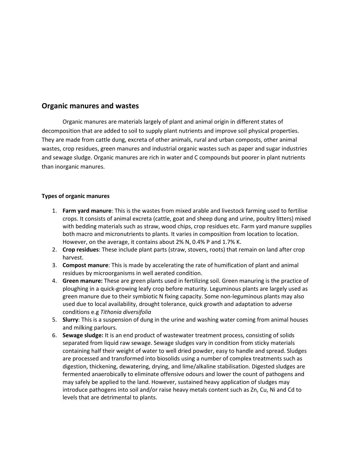# **Organic manures and wastes**

Organic manures are materials largely of plant and animal origin in different states of decomposition that are added to soil to supply plant nutrients and improve soil physical properties. They are made from cattle dung, excreta of other animals, rural and urban composts, other animal wastes, crop residues, green manures and industrial organic wastes such as paper and sugar industries and sewage sludge. Organic manures are rich in water and C compounds but poorer in plant nutrients than inorganic manures.

## **Types of organic manures**

- 1. **Farm yard manure**: This is the wastes from mixed arable and livestock farming used to fertilise crops. It consists of animal excreta (cattle, goat and sheep dung and urine, poultry litters) mixed with bedding materials such as straw, wood chips, crop residues etc. Farm yard manure supplies both macro and micronutrients to plants. It varies in composition from location to location. However, on the average, it contains about 2% N, 0.4% P and 1.7% K.
- 2. **Crop residues**: These include plant parts (straw, stovers, roots) that remain on land after crop harvest.
- 3. **Compost manure**: This is made by accelerating the rate of humification of plant and animal residues by microorganisms in well aerated condition.
- 4. **Green manure:** These are green plants used in fertilizing soil. Green manuring is the practice of ploughing in a quick-growing leafy crop before maturity. Leguminous plants are largely used as green manure due to their symbiotic N fixing capacity. Some non-leguminous plants may also used due to local availability, drought tolerance, quick growth and adaptation to adverse conditions e.g *Tithonia diversifolia*
- 5. **Slurry**: This is a suspension of dung in the urine and washing water coming from animal houses and milking parlours.
- 6. **Sewage sludge:** It is an end product of wastewater treatment process, consisting of solids separated from liquid raw sewage. Sewage sludges vary in condition from sticky materials containing half their weight of water to well dried powder, easy to handle and spread. Sludges are processed and transformed into biosolids using a number of complex treatments such as digestion, thickening, dewatering, drying, and lime/alkaline stabilisation. Digested sludges are fermented anaerobically to eliminate offensive odours and lower the count of pathogens and may safely be applied to the land. However, sustained heavy application of sludges may introduce pathogens into soil and/or raise heavy metals content such as Zn, Cu, Ni and Cd to levels that are detrimental to plants.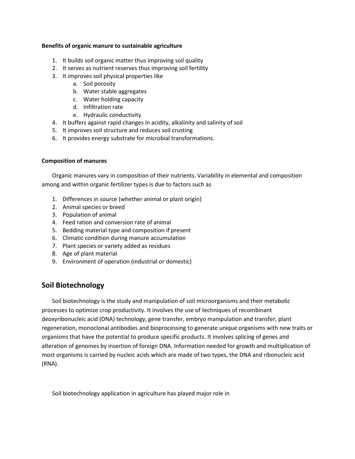### **Benefits of organic manure to sustainable agriculture**

- 1. It builds soil organic matter thus improving soil quality
- 2. It serves as nutrient reserves thus improving soil fertility
- 3. It improves soil physical properties like
	- a. Soil porosity
	- b. Water stable aggregates
	- c. Water holding capacity
	- d. Infiltration rate
	- e. Hydraulic conductivity
- 4. It buffers against rapid changes in acidity, alkalinity and salinity of soil
- 5. It improves soil structure and reduces soil crusting
- 6. It provides energy substrate for microbial transformations.

## **Composition of manures**

Organic manures vary in composition of their nutrients. Variability in elemental and composition among and within organic fertilizer types is due to factors such as

- 1. Differences in source (whether animal or plant origin)
- 2. Animal species or breed
- 3. Population of animal
- 4. Feed ration and conversion rate of animal
- 5. Bedding material type and composition if present
- 6. Climatic condition during manure accumulation
- 7. Plant species or variety added as residues
- 8. Age of plant material
- 9. Environment of operation (industrial or domestic)

# **Soil Biotechnology**

Soil biotechnology is the study and manipulation of soil microorganisms and their metabolic processes to optimize crop productivity. It involves the use of techniques of recombinant deoxyribonucleic acid (DNA) technology, gene transfer, embryo manipulation and transfer, plant regeneration, monoclonal antibodies and bioprocessing to generate unique organisms with new traits or organisms that have the potential to produce specific products. It involves splicing of genes and alteration of genomes by insertion of foreign DNA. Information needed for growth and multiplication of most organisms is carried by nucleic acids which are made of two types, the DNA and ribonucleic acid (RNA).

Soil biotechnology application in agriculture has played major role in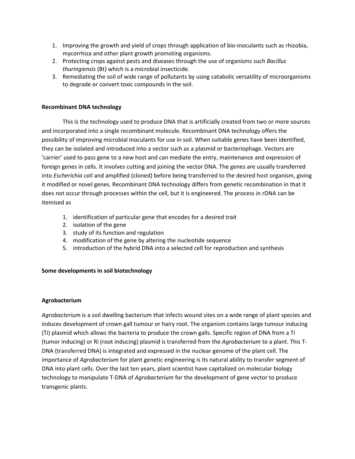- 1. Improving the growth and yield of crops through application of bio-inoculants such as rhizobia, mycorrhiza and other plant growth promoting organisms.
- 2. Protecting crops against pests and diseases through the use of organisms such *Bacillus thuringiensis* (Bt) which is a microbial insecticide.
- 3. Remediating the soil of wide range of pollutants by using catabolic versatility of microorganisms to degrade or convert toxic compounds in the soil.

## **Recombinant DNA technology**

This is the technology used to produce DNA that is artificially created from two or more sources and incorporated into a single recombinant molecule. Recombinant DNA technology offers the possibility of improving microbial inoculants for use in soil. When suitable genes have been identified, they can be isolated and introduced into a vector such as a plasmid or bacteriophage. Vectors are 'carrier' used to pass gene to a new host and can mediate the entry, maintenance and expression of foreign genes in cells. It involves cutting and joining the vector DNA. The genes are usually transferred into *Escherichia coli* and amplified (cloned) before being transferred to the desired host organism, giving it modified or novel genes. Recombinant DNA technology differs from genetic recombination in that it does not occur through processes within the cell, but it is engineered. The process in rDNA can be itemised as

- 1. identification of particular gene that encodes for a desired trait
- 2. isolation of the gene
- 3. study of its function and regulation
- 4. modification of the gene by altering the nucleotide sequence
- 5. introduction of the hybrid DNA into a selected cell for reproduction and synthesis

## **Some developments in soil biotechnology**

## **Agrobacterium**

*Agrobacterium* is a soil dwelling bacterium that infects wound sites on a wide range of plant species and induces development of crown gall tumour or hairy root. The organism contains large tumour inducing (Ti) plasmid which allows the bacteria to produce the crown galls. Specific region of DNA from a Ti (tumor inducing) or Ri (root inducing) plasmid is transferred from the *Agrobacterium* to a plant. This T-DNA (transferred DNA) is integrated and expressed in the nuclear genome of the plant cell. The importance of *Agrobacterium* for plant genetic engineering is its natural ability to transfer segment of DNA into plant cells. Over the last ten years, plant scientist have capitalized on molecular biology technology to manipulate T-DNA of *Agrobacterium* for the development of gene vector to produce transgenic plants.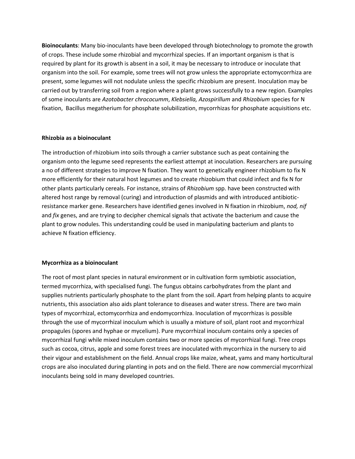**Bioinoculants**: Many bio-inoculants have been developed through biotechnology to promote the growth of crops. These include some rhizobial and mycorrhizal species. If an important organism is that is required by plant for its growth is absent in a soil, it may be necessary to introduce or inoculate that organism into the soil. For example, some trees will not grow unless the appropriate ectomycorrhiza are present, some legumes will not nodulate unless the specific rhizobium are present. Inoculation may be carried out by transferring soil from a region where a plant grows successfully to a new region. Examples of some inoculants are *Azotobacter chrococumm*, *Klebsiella, Azospirillum* and *Rhizobium* species for N fixation, Bacillus megatherium for phosphate solubilization, mycorrhizas for phosphate acquisitions etc.

### **Rhizobia as a bioinoculant**

The introduction of rhizobium into soils through a carrier substance such as peat containing the organism onto the legume seed represents the earliest attempt at inoculation. Researchers are pursuing a no of different strategies to improve N fixation. They want to genetically engineer rhizobium to fix N more efficiently for their natural host legumes and to create rhizobium that could infect and fix N for other plants particularly cereals. For instance, strains of *Rhizobium* spp. have been constructed with altered host range by removal (curing) and introduction of plasmids and with introduced antibioticresistance marker gene. Researchers have identified genes involved in N fixation in rhizobium, *nod, nif*  and *fix* genes, and are trying to decipher chemical signals that activate the bacterium and cause the plant to grow nodules. This understanding could be used in manipulating bacterium and plants to achieve N fixation efficiency.

## **Mycorrhiza as a bioinoculant**

The root of most plant species in natural environment or in cultivation form symbiotic association, termed mycorrhiza, with specialised fungi. The fungus obtains carbohydrates from the plant and supplies nutrients particularly phosphate to the plant from the soil. Apart from helping plants to acquire nutrients, this association also aids plant tolerance to diseases and water stress. There are two main types of mycorrhizal, ectomycorrhiza and endomycorrhiza. Inoculation of mycorrhizas is possible through the use of mycorrhizal inoculum which is usually a mixture of soil, plant root and mycorrhizal propagules (spores and hyphae or mycelium). Pure mycorrhizal inoculum contains only a species of mycorrhizal fungi while mixed inoculum contains two or more species of mycorrhizal fungi. Tree crops such as cocoa, citrus, apple and some forest trees are inoculated with mycorrhiza in the nursery to aid their vigour and establishment on the field. Annual crops like maize, wheat, yams and many horticultural crops are also inoculated during planting in pots and on the field. There are now commercial mycorrhizal inoculants being sold in many developed countries.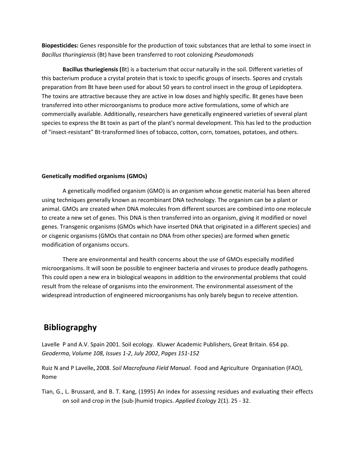**Biopesticides:** Genes responsible for the production of toxic substances that are lethal to some insect in *Bacillus thuringiensis* (Bt) have been transferred to root colonizing *Pseudomonads*

**Bacillus thuriegiensis (**Bt) is a bacterium that occur naturally in the soil. Different varieties of this bacterium produce a crystal protein that is toxic to specific groups of insects. Spores and crystals preparation from Bt have been used for about 50 years to control insect in the group of Lepidoptera. The toxins are attractive because they are active in low doses and highly specific. Bt genes have been transferred into other microorganisms to produce more active formulations, some of which are commercially available. Additionally, researchers have genetically engineered varieties of several plant species to express the Bt toxin as part of the plant's normal development. This has led to the production of "insect-resistant" Bt-transformed lines of tobacco, cotton, corn, tomatoes, potatoes, and others.

#### **Genetically modified organisms (GMOs)**

A genetically modified organism (GMO) is an organism whose genetic material has been altered using techniques generally known as recombinant DNA technology. The organism can be a plant or animal. GMOs are created when DNA molecules from different sources are combined into one molecule to create a new set of genes. This DNA is then transferred into an organism, giving it modified or novel genes. Transgenic organisms (GMOs which have inserted DNA that originated in a different species) and or cisgenic organisms (GMOs that contain no DNA from other species) are formed when genetic modification of organisms occurs.

There are environmental and health concerns about the use of GMOs especially modified microorganisms. It will soon be possible to engineer bacteria and viruses to produce deadly pathogens. This could open a new era in biological weapons in addition to the environmental problems that could result from the release of organisms into the environment. The environmental assessment of the widespread introduction of engineered microorganisms has only barely begun to receive attention.

# **Bibliograpghy**

Lavelle P and A.V. Spain 2001. Soil ecology. Kluwer Academic Publishers, Great Britain. 654 pp. *Geoderma*, *Volume 108, Issues 1-2*, *July 2002*, *Pages 151-152* 

Ruiz N and P Lavelle**,** 2008. *Soil Macrofauna Field Manual*. Food and Agriculture Organisation (FAO), Rome

Tian, G., L. Brussard, and B. T. Kang, (1995) An index for assessing residues and evaluating their effects on soil and crop in the (sub-)humid tropics. *Applied Ecology* 2(1). 25 - 32.